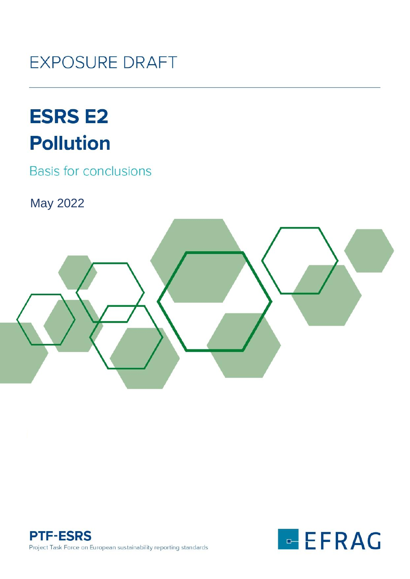# **EXPOSURE DRAFT**

# **ESRS E2 Pollution**

**Basis for conclusions** 

May 2022





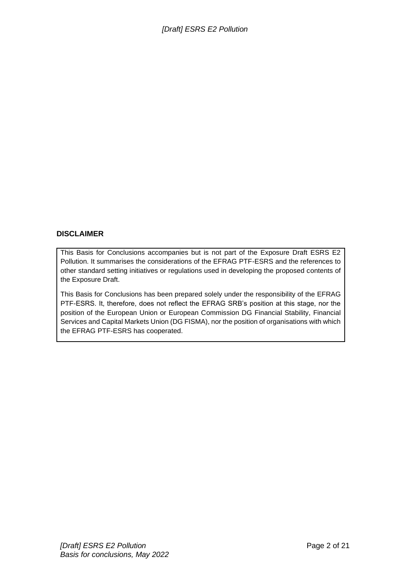#### **DISCLAIMER**

This Basis for Conclusions accompanies but is not part of the Exposure Draft ESRS E2 Pollution. It summarises the considerations of the EFRAG PTF-ESRS and the references to other standard setting initiatives or regulations used in developing the proposed contents of the Exposure Draft.

This Basis for Conclusions has been prepared solely under the responsibility of the EFRAG PTF-ESRS. It, therefore, does not reflect the EFRAG SRB's position at this stage, nor the position of the European Union or European Commission DG Financial Stability, Financial Services and Capital Markets Union (DG FISMA), nor the position of organisations with which the EFRAG PTF-ESRS has cooperated.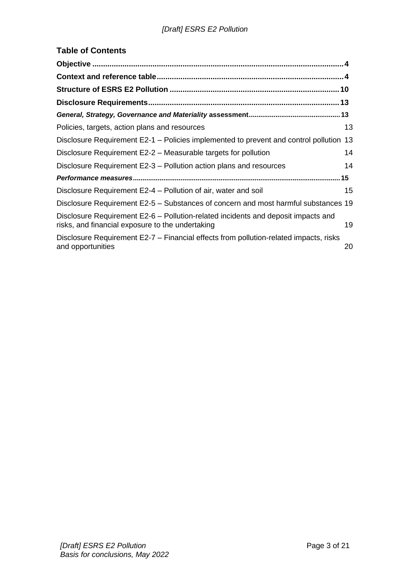# **Table of Contents**

| Policies, targets, action plans and resources                                                                                         | 13 |
|---------------------------------------------------------------------------------------------------------------------------------------|----|
| Disclosure Requirement E2-1 – Policies implemented to prevent and control pollution                                                   | 13 |
| Disclosure Requirement E2-2 – Measurable targets for pollution                                                                        | 14 |
| Disclosure Requirement E2-3 – Pollution action plans and resources                                                                    | 14 |
|                                                                                                                                       |    |
| Disclosure Requirement E2-4 – Pollution of air, water and soil                                                                        | 15 |
| Disclosure Requirement E2-5 – Substances of concern and most harmful substances 19                                                    |    |
| Disclosure Requirement E2-6 – Pollution-related incidents and deposit impacts and<br>risks, and financial exposure to the undertaking | 19 |
| Disclosure Requirement E2-7 – Financial effects from pollution-related impacts, risks<br>and opportunities                            | 20 |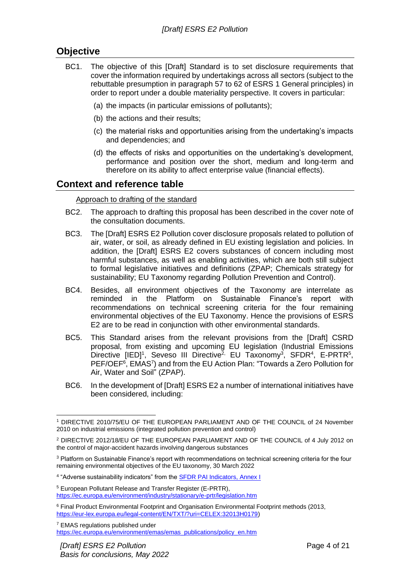# <span id="page-3-0"></span>**Objective**

- BC1. The objective of this [Draft] Standard is to set disclosure requirements that cover the information required by undertakings across all sectors (subject to the rebuttable presumption in paragraph 57 to 62 of ESRS 1 General principles) in order to report under a double materiality perspective. It covers in particular:
	- (a) the impacts (in particular emissions of pollutants);
	- (b) the actions and their results;
	- (c) the material risks and opportunities arising from the undertaking's impacts and dependencies; and
	- (d) the effects of risks and opportunities on the undertaking's development, performance and position over the short, medium and long-term and therefore on its ability to affect enterprise value (financial effects).

# <span id="page-3-1"></span>**Context and reference table**

#### Approach to drafting of the standard

- BC2. The approach to drafting this proposal has been described in the cover note of the consultation documents.
- BC3. The [Draft] ESRS E2 Pollution cover disclosure proposals related to pollution of air, water, or soil, as already defined in EU existing legislation and policies. In addition, the [Draft] ESRS E2 covers substances of concern including most harmful substances, as well as enabling activities, which are both still subject to formal legislative initiatives and definitions (ZPAP; Chemicals strategy for sustainability; EU Taxonomy regarding Pollution Prevention and Control).
- BC4. Besides, all environment objectives of the Taxonomy are interrelate as reminded in the Platform on Sustainable Finance's report with recommendations on technical screening criteria for the four remaining environmental objectives of the EU Taxonomy. Hence the provisions of ESRS E2 are to be read in conjunction with other environmental standards.
- BC5. This Standard arises from the relevant provisions from the [Draft] CSRD proposal, from existing and upcoming EU legislation (Industrial Emissions Directive [IED]<sup>1</sup>, Seveso III Directive<sup>2,</sup> EU Taxonomy<sup>3</sup>, SFDR<sup>4</sup>, E-PRTR<sup>5</sup>, PEF/OEF<sup>6</sup>, EMAS<sup>7</sup>) and from the EU Action Plan: "Towards a Zero Pollution for Air, Water and Soil" (ZPAP).
- BC6. In the development of [Draft] ESRS E2 a number of international initiatives have been considered, including:

<sup>1</sup> DIRECTIVE 2010/75/EU OF THE EUROPEAN PARLIAMENT AND OF THE COUNCIL of 24 November 2010 on industrial emissions (integrated pollution prevention and control)

<sup>2</sup> DIRECTIVE 2012/18/EU OF THE EUROPEAN PARLIAMENT AND OF THE COUNCIL of 4 July 2012 on the control of major-accident hazards involving dangerous substances

<sup>&</sup>lt;sup>3</sup> Platform on Sustainable Finance's report with recommendations on technical screening criteria for the four remaining environmental objectives of the EU taxonomy, 30 March 2022

<sup>&</sup>lt;sup>4</sup> "Adverse sustainability indicators" from the **SFDR PAI Indicators, Annex I** 

<sup>5</sup> European Pollutant Release and Transfer Register (E-PRTR), <https://ec.europa.eu/environment/industry/stationary/e-prtr/legislation.htm>

<sup>6</sup> Final Product Environmental Footprint and Organisation Environmental Footprint methods (2013, [https://eur-lex.europa.eu/legal-content/EN/TXT/?uri=CELEX:32013H0179\)](https://eur-lex.europa.eu/legal-content/EN/TXT/?uri=CELEX:32013H0179)

<sup>7</sup> EMAS regulations published under [https://ec.europa.eu/environment/emas/emas\\_publications/policy\\_en.htm](https://ec.europa.eu/environment/emas/emas_publications/policy_en.htm)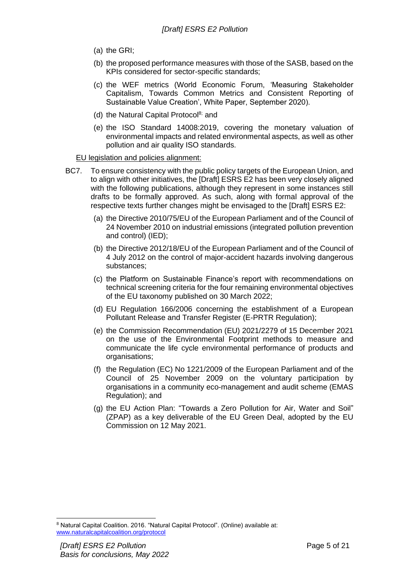- (a) the GRI;
- (b) the proposed performance measures with those of the SASB, based on the KPIs considered for sector-specific standards;
- (c) the WEF metrics (World Economic Forum, 'Measuring Stakeholder Capitalism, Towards Common Metrics and Consistent Reporting of Sustainable Value Creation', White Paper, September 2020).
- (d) the Natural Capital Protocol<sup>8;</sup> and
- (e) the ISO Standard 14008:2019, covering the monetary valuation of environmental impacts and related environmental aspects, as well as other pollution and air quality ISO standards.

#### EU legislation and policies alignment:

- BC7. To ensure consistency with the public policy targets of the European Union, and to align with other initiatives, the [Draft] ESRS E2 has been very closely aligned with the following publications, although they represent in some instances still drafts to be formally approved. As such, along with formal approval of the respective texts further changes might be envisaged to the [Draft] ESRS E2:
	- (a) the Directive 2010/75/EU of the European Parliament and of the Council of 24 November 2010 on industrial emissions (integrated pollution prevention and control) (IED);
	- (b) the Directive 2012/18/EU of the European Parliament and of the Council of 4 July 2012 on the control of major-accident hazards involving dangerous substances;
	- (c) the Platform on Sustainable Finance's report with recommendations on technical screening criteria for the four remaining environmental objectives of the EU taxonomy published on 30 March 2022;
	- (d) EU Regulation 166/2006 concerning the establishment of a European Pollutant Release and Transfer Register (E-PRTR Regulation);
	- (e) the Commission Recommendation (EU) 2021/2279 of 15 December 2021 on the use of the Environmental Footprint methods to measure and communicate the life cycle environmental performance of products and organisations;
	- (f) the Regulation (EC) No 1221/2009 of the European Parliament and of the Council of 25 November 2009 on the voluntary participation by organisations in a community eco-management and audit scheme (EMAS Regulation); and
	- (g) the EU Action Plan: "Towards a Zero Pollution for Air, Water and Soil" (ZPAP) as a key deliverable of the EU Green Deal, adopted by the EU Commission on 12 May 2021.

<sup>8</sup> Natural Capital Coalition. 2016. "Natural Capital Protocol". (Online) available at: [www.naturalcapitalcoalition.org/protocol](http://www.naturalcapitalcoalition.org/protocol)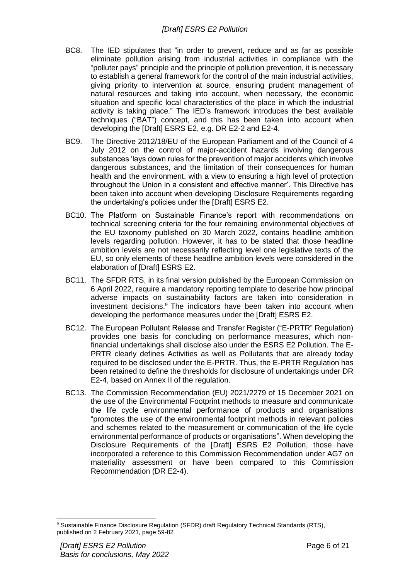- BC8. The IED stipulates that "in order to prevent, reduce and as far as possible eliminate pollution arising from industrial activities in compliance with the "polluter pays" principle and the principle of pollution prevention, it is necessary to establish a general framework for the control of the main industrial activities, giving priority to intervention at source, ensuring prudent management of natural resources and taking into account, when necessary, the economic situation and specific local characteristics of the place in which the industrial activity is taking place." The IED's framework introduces the best available techniques ("BAT") concept, and this has been taken into account when developing the [Draft] ESRS E2, e.g. DR E2-2 and E2-4.
- BC9. The Directive 2012/18/EU of the European Parliament and of the Council of 4 July 2012 on the control of major-accident hazards involving dangerous substances 'lays down rules for the prevention of major accidents which involve dangerous substances, and the limitation of their consequences for human health and the environment, with a view to ensuring a high level of protection throughout the Union in a consistent and effective manner'. This Directive has been taken into account when developing Disclosure Requirements regarding the undertaking's policies under the [Draft] ESRS E2.
- BC10. The Platform on Sustainable Finance's report with recommendations on technical screening criteria for the four remaining environmental objectives of the EU taxonomy published on 30 March 2022, contains headline ambition levels regarding pollution. However, it has to be stated that those headline ambition levels are not necessarily reflecting level one legislative texts of the EU, so only elements of these headline ambition levels were considered in the elaboration of [Draft] ESRS E2.
- BC11. The SFDR RTS, in its final version published by the European Commission on 6 April 2022, require a mandatory reporting template to describe how principal adverse impacts on sustainability factors are taken into consideration in investment decisions. <sup>9</sup> The indicators have been taken into account when developing the performance measures under the [Draft] ESRS E2.
- BC12. The European Pollutant Release and Transfer Register ("E-PRTR" Regulation) provides one basis for concluding on performance measures, which nonfinancial undertakings shall disclose also under the ESRS E2 Pollution. The E-PRTR clearly defines Activities as well as Pollutants that are already today required to be disclosed under the E-PRTR. Thus, the E-PRTR Regulation has been retained to define the thresholds for disclosure of undertakings under DR E2-4, based on Annex II of the regulation.
- BC13. The Commission Recommendation (EU) 2021/2279 of 15 December 2021 on the use of the Environmental Footprint methods to measure and communicate the life cycle environmental performance of products and organisations "promotes the use of the environmental footprint methods in relevant policies and schemes related to the measurement or communication of the life cycle environmental performance of products or organisations". When developing the Disclosure Requirements of the [Draft] ESRS E2 Pollution, those have incorporated a reference to this Commission Recommendation under AG7 on materiality assessment or have been compared to this Commission Recommendation (DR E2-4).

<sup>9</sup> Sustainable Finance Disclosure Regulation (SFDR) draft Regulatory Technical Standards (RTS), published on 2 February 2021, page 59-82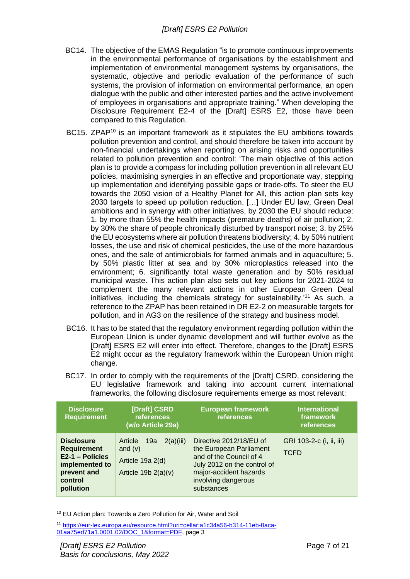- BC14. The objective of the EMAS Regulation "is to promote continuous improvements in the environmental performance of organisations by the establishment and implementation of environmental management systems by organisations, the systematic, objective and periodic evaluation of the performance of such systems, the provision of information on environmental performance, an open dialogue with the public and other interested parties and the active involvement of employees in organisations and appropriate training." When developing the Disclosure Requirement E2-4 of the [Draft] ESRS E2, those have been compared to this Regulation.
- BC15. ZPAP<sup>10</sup> is an important framework as it stipulates the EU ambitions towards pollution prevention and control, and should therefore be taken into account by non-financial undertakings when reporting on arising risks and opportunities related to pollution prevention and control: 'The main objective of this action plan is to provide a compass for including pollution prevention in all relevant EU policies, maximising synergies in an effective and proportionate way, stepping up implementation and identifying possible gaps or trade-offs. To steer the EU towards the 2050 vision of a Healthy Planet for All, this action plan sets key 2030 targets to speed up pollution reduction. […] Under EU law, Green Deal ambitions and in synergy with other initiatives, by 2030 the EU should reduce: 1. by more than 55% the health impacts (premature deaths) of air pollution; 2. by 30% the share of people chronically disturbed by transport noise; 3. by 25% the EU ecosystems where air pollution threatens biodiversity; 4. by 50% nutrient losses, the use and risk of chemical pesticides, the use of the more hazardous ones, and the sale of antimicrobials for farmed animals and in aquaculture; 5. by 50% plastic litter at sea and by 30% microplastics released into the environment; 6. significantly total waste generation and by 50% residual municipal waste. This action plan also sets out key actions for 2021-2024 to complement the many relevant actions in other European Green Deal initiatives, including the chemicals strategy for sustainability.'<sup>11</sup> As such, a reference to the ZPAP has been retained in DR E2-2 on measurable targets for pollution, and in AG3 on the resilience of the strategy and business model.
- BC16. It has to be stated that the regulatory environment regarding pollution within the European Union is under dynamic development and will further evolve as the [Draft] ESRS E2 will enter into effect. Therefore, changes to the [Draft] ESRS E2 might occur as the regulatory framework within the European Union might change.
- BC17. In order to comply with the requirements of the [Draft] CSRD, considering the EU legislative framework and taking into account current international frameworks, the following disclosure requirements emerge as most relevant:

| <b>Disclosure</b><br><b>Requirement</b>                                                                             | [Draft] CSRD<br>references<br>(w/o Article 29a)                                       | <b>European framework</b><br>references                                                                                                                                     | <b>International</b><br>framework<br>references |
|---------------------------------------------------------------------------------------------------------------------|---------------------------------------------------------------------------------------|-----------------------------------------------------------------------------------------------------------------------------------------------------------------------------|-------------------------------------------------|
| <b>Disclosure</b><br><b>Requirement</b><br>E2-1 - Policies<br>implemented to<br>prevent and<br>control<br>pollution | Article<br>19a<br>2(a)(iii)<br>and $(v)$<br>Article 19a 2(d)<br>Article 19b $2(a)(v)$ | Directive 2012/18/EU of<br>the European Parliament<br>and of the Council of 4<br>July 2012 on the control of<br>major-accident hazards<br>involving dangerous<br>substances | GRI 103-2-c (i, ii, iii)<br><b>TCFD</b>         |

<sup>10</sup> EU Action plan: Towards a Zero Pollution for Air, Water and Soil

<sup>11</sup> [https://eur-lex.europa.eu/resource.html?uri=cellar:a1c34a56-b314-11eb-8aca-](https://eur-lex.europa.eu/resource.html?uri=cellar:a1c34a56-b314-11eb-8aca-01aa75ed71a1.0001.02/DOC_1&format=PDF)[01aa75ed71a1.0001.02/DOC\\_1&format=PDF,](https://eur-lex.europa.eu/resource.html?uri=cellar:a1c34a56-b314-11eb-8aca-01aa75ed71a1.0001.02/DOC_1&format=PDF) page 3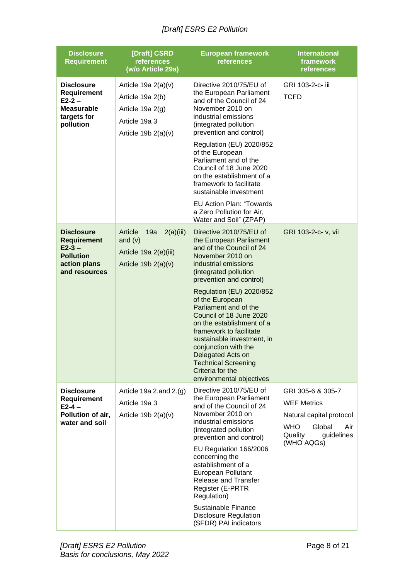| <b>Disclosure</b><br><b>Requirement</b>                                                                 | [Draft] CSRD<br>references<br>(w/o Article 29a)                                                         | <b>International</b><br><b>European framework</b><br>framework<br>references<br><b>references</b>                                                                                                                                                                                                                                                                                                                                                                                                                            |                                                                                                                                           |
|---------------------------------------------------------------------------------------------------------|---------------------------------------------------------------------------------------------------------|------------------------------------------------------------------------------------------------------------------------------------------------------------------------------------------------------------------------------------------------------------------------------------------------------------------------------------------------------------------------------------------------------------------------------------------------------------------------------------------------------------------------------|-------------------------------------------------------------------------------------------------------------------------------------------|
| <b>Disclosure</b><br><b>Requirement</b><br>$E2 - 2 -$<br><b>Measurable</b><br>targets for<br>pollution  | Article 19a $2(a)(v)$<br>Article 19a 2(b)<br>Article 19a 2(g)<br>Article 19a 3<br>Article 19b $2(a)(v)$ | Directive 2010/75/EU of<br>the European Parliament<br>and of the Council of 24<br>November 2010 on<br>industrial emissions<br>(integrated pollution<br>prevention and control)<br>Regulation (EU) 2020/852<br>of the European<br>Parliament and of the<br>Council of 18 June 2020<br>on the establishment of a<br>framework to facilitate<br>sustainable investment<br><b>EU Action Plan: "Towards</b><br>a Zero Pollution for Air,                                                                                          | GRI 103-2-c- iii<br><b>TCFD</b>                                                                                                           |
| <b>Disclosure</b><br><b>Requirement</b><br>$E2-3-$<br><b>Pollution</b><br>action plans<br>and resources | Article<br>19a<br>2(a)(iii)<br>and $(v)$<br>Article 19a 2(e)(iii)<br>Article 19b $2(a)(v)$              | Water and Soil" (ZPAP)<br>Directive 2010/75/EU of<br>the European Parliament<br>and of the Council of 24<br>November 2010 on<br>industrial emissions<br>(integrated pollution<br>prevention and control)<br>Regulation (EU) 2020/852<br>of the European<br>Parliament and of the<br>Council of 18 June 2020<br>on the establishment of a<br>framework to facilitate<br>sustainable investment, in<br>conjunction with the<br>Delegated Acts on<br><b>Technical Screening</b><br>Criteria for the<br>environmental objectives | GRI 103-2-c- v, vii                                                                                                                       |
| <b>Disclosure</b><br><b>Requirement</b><br>$E2 - 4 -$<br>Pollution of air,<br>water and soil            | Article 19a 2.and $2.(g)$<br>Article 19a 3<br>Article 19b $2(a)(v)$                                     | Directive 2010/75/EU of<br>the European Parliament<br>and of the Council of 24<br>November 2010 on<br>industrial emissions<br>(integrated pollution<br>prevention and control)<br>EU Regulation 166/2006<br>concerning the<br>establishment of a<br>European Pollutant<br><b>Release and Transfer</b><br><b>Register (E-PRTR)</b><br>Regulation)<br>Sustainable Finance<br><b>Disclosure Regulation</b><br>(SFDR) PAI indicators                                                                                             | GRI 305-6 & 305-7<br><b>WEF Metrics</b><br>Natural capital protocol<br><b>WHO</b><br>Global<br>Air<br>Quality<br>guidelines<br>(WHO AQGs) |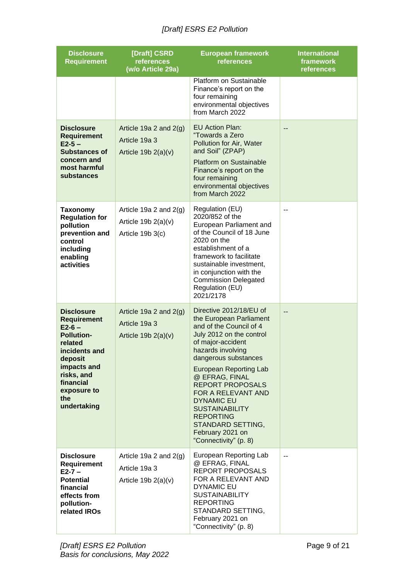| <b>Disclosure</b><br><b>Requirement</b>                                                                                                                                                       | [Draft] CSRD<br>references<br>(w/o Article 29a)                       | <b>European framework</b><br>references                                                                                                                                                                                                                                                                                                                                                                      | <b>International</b><br>framework<br>references |
|-----------------------------------------------------------------------------------------------------------------------------------------------------------------------------------------------|-----------------------------------------------------------------------|--------------------------------------------------------------------------------------------------------------------------------------------------------------------------------------------------------------------------------------------------------------------------------------------------------------------------------------------------------------------------------------------------------------|-------------------------------------------------|
|                                                                                                                                                                                               |                                                                       | Platform on Sustainable<br>Finance's report on the<br>four remaining<br>environmental objectives<br>from March 2022                                                                                                                                                                                                                                                                                          |                                                 |
| <b>Disclosure</b><br><b>Requirement</b><br>$E2 - 5 -$<br><b>Substances of</b><br>concern and<br>most harmful<br>substances                                                                    | Article 19a 2 and $2(g)$<br>Article 19a 3<br>Article 19b $2(a)(v)$    | <b>EU Action Plan:</b><br>"Towards a Zero<br>Pollution for Air, Water<br>and Soil" (ZPAP)<br><b>Platform on Sustainable</b><br>Finance's report on the<br>four remaining<br>environmental objectives<br>from March 2022                                                                                                                                                                                      |                                                 |
| <b>Taxonomy</b><br><b>Regulation for</b><br>pollution<br>prevention and<br>control<br>including<br>enabling<br>activities                                                                     | Article 19a 2 and $2(g)$<br>Article 19b $2(a)(v)$<br>Article 19b 3(c) | Regulation (EU)<br>2020/852 of the<br>European Parliament and<br>of the Council of 18 June<br>2020 on the<br>establishment of a<br>framework to facilitate<br>sustainable investment,<br>in conjunction with the<br><b>Commission Delegated</b><br>Regulation (EU)<br>2021/2178                                                                                                                              | --                                              |
| <b>Disclosure</b><br><b>Requirement</b><br>$E2-6-$<br><b>Pollution-</b><br>related<br>incidents and<br>deposit<br>impacts and<br>risks, and<br>financial<br>exposure to<br>the<br>undertaking | Article 19a 2 and $2(g)$<br>Article 19a 3<br>Article 19b $2(a)(v)$    | Directive 2012/18/EU of<br>the European Parliament<br>and of the Council of 4<br>July 2012 on the control<br>of major-accident<br>hazards involving<br>dangerous substances<br>European Reporting Lab<br>@ EFRAG, FINAL<br><b>REPORT PROPOSALS</b><br>FOR A RELEVANT AND<br><b>DYNAMIC EU</b><br><b>SUSTAINABILITY</b><br><b>REPORTING</b><br>STANDARD SETTING,<br>February 2021 on<br>"Connectivity" (p. 8) | $\overline{a}$                                  |
| <b>Disclosure</b><br><b>Requirement</b><br>$E2 - 7 -$<br><b>Potential</b><br>financial<br>effects from<br>pollution-<br>related IROs                                                          | Article 19a 2 and $2(g)$<br>Article 19a 3<br>Article 19b $2(a)(v)$    | European Reporting Lab<br>@ EFRAG, FINAL<br>REPORT PROPOSALS<br>FOR A RELEVANT AND<br><b>DYNAMIC EU</b><br><b>SUSTAINABILITY</b><br><b>REPORTING</b><br>STANDARD SETTING,<br>February 2021 on<br>"Connectivity" (p. 8)                                                                                                                                                                                       | $\sim$ $\sim$                                   |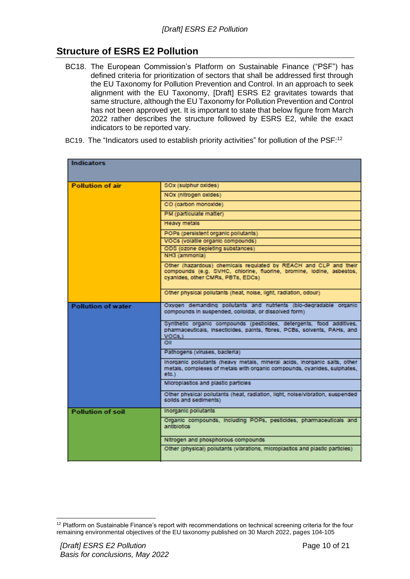# <span id="page-9-0"></span>**Structure of ESRS E2 Pollution**

- BC18. The European Commission's Platform on Sustainable Finance ("PSF") has defined criteria for prioritization of sectors that shall be addressed first through the EU Taxonomy for Pollution Prevention and Control. In an approach to seek alignment with the EU Taxonomy, [Draft] ESRS E2 gravitates towards that same structure, although the EU Taxonomy for Pollution Prevention and Control has not been approved yet. It is important to state that below figure from March 2022 rather describes the structure followed by ESRS E2, while the exact indicators to be reported vary.
- BC19. The "Indicators used to establish priority activities" for pollution of the PSF:<sup>12</sup>

| <b>Indicators</b>         |                                                                                                                                                                               |  |  |  |  |
|---------------------------|-------------------------------------------------------------------------------------------------------------------------------------------------------------------------------|--|--|--|--|
| <b>Pollution of air</b>   | SOx (sulphur oxides)                                                                                                                                                          |  |  |  |  |
|                           | NOx (nitrogen oxides)                                                                                                                                                         |  |  |  |  |
|                           | CO (carbon monoxide)                                                                                                                                                          |  |  |  |  |
|                           | PM (particulate matter)                                                                                                                                                       |  |  |  |  |
|                           | Heavy metals                                                                                                                                                                  |  |  |  |  |
|                           | POPs (persistent organic pollutants)                                                                                                                                          |  |  |  |  |
|                           | VOCs (volatile organic compounds)                                                                                                                                             |  |  |  |  |
|                           | ODS (ozone depleting substances)                                                                                                                                              |  |  |  |  |
|                           | NH3 (ammonia)                                                                                                                                                                 |  |  |  |  |
|                           | Other (hazardous) chemicals regulated by REACH and CLP and their<br>compounds (e.g. SVHC, chlorine, fluorine, bromine, lodine, asbestos,<br>cyanides, other CMRs, PBTs, EDCs) |  |  |  |  |
|                           | Other physical pollutants (heat, noise, light, radiation, odour)                                                                                                              |  |  |  |  |
| <b>Pollution of water</b> | Oxygen demanding pollutants and nutrients (blo-degradable organic<br>compounds in suspended, colloidal, or dissolved form)                                                    |  |  |  |  |
|                           | Synthetic organic compounds (pesticides, detergents, food additives,<br>pharmaceuticals, insecticides, paints, fibres, PCBs, solvents, PAHs, and<br>VOCs.)                    |  |  |  |  |
|                           | ΟII                                                                                                                                                                           |  |  |  |  |
|                           | Pathogens (viruses, bacteria)                                                                                                                                                 |  |  |  |  |
|                           | inorganic pollutants (heavy metals, mineral acids, inorganic salts, other<br>metals, complexes of metals with organic compounds, cyanides, sulphates,<br>etc.)                |  |  |  |  |
|                           | Microplastics and plastic particles                                                                                                                                           |  |  |  |  |
|                           | Other physical pollutants (heat, radiation, light, noise/vibration, suspended<br>solids and sediments)                                                                        |  |  |  |  |
| <b>Pollution of soil</b>  | Inorganic pollutants                                                                                                                                                          |  |  |  |  |
|                           | Organic compounds, including POPs, pesticides, pharmaceuticals and<br>antibiotics                                                                                             |  |  |  |  |
|                           | Nitrogen and phosphorous compounds                                                                                                                                            |  |  |  |  |
|                           | Other (physical) pollutants (vibrations, microplastics and plastic particles)                                                                                                 |  |  |  |  |

<sup>&</sup>lt;sup>12</sup> Platform on Sustainable Finance's report with recommendations on technical screening criteria for the four remaining environmental objectives of the EU taxonomy published on 30 March 2022, pages 104-105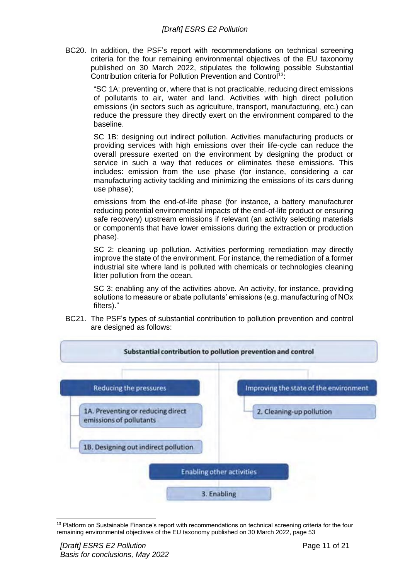BC20. In addition, the PSF's report with recommendations on technical screening criteria for the four remaining environmental objectives of the EU taxonomy published on 30 March 2022, stipulates the following possible Substantial Contribution criteria for Pollution Prevention and Control<sup>13</sup>:

"SC 1A: preventing or, where that is not practicable, reducing direct emissions of pollutants to air, water and land. Activities with high direct pollution emissions (in sectors such as agriculture, transport, manufacturing, etc.) can reduce the pressure they directly exert on the environment compared to the baseline.

SC 1B: designing out indirect pollution. Activities manufacturing products or providing services with high emissions over their life-cycle can reduce the overall pressure exerted on the environment by designing the product or service in such a way that reduces or eliminates these emissions. This includes: emission from the use phase (for instance, considering a car manufacturing activity tackling and minimizing the emissions of its cars during use phase);

emissions from the end-of-life phase (for instance, a battery manufacturer reducing potential environmental impacts of the end-of-life product or ensuring safe recovery) upstream emissions if relevant (an activity selecting materials or components that have lower emissions during the extraction or production phase).

SC 2: cleaning up pollution. Activities performing remediation may directly improve the state of the environment. For instance, the remediation of a former industrial site where land is polluted with chemicals or technologies cleaning litter pollution from the ocean.

SC 3: enabling any of the activities above. An activity, for instance, providing solutions to measure or abate pollutants' emissions (e.g. manufacturing of NOx filters)."

BC21. The PSF's types of substantial contribution to pollution prevention and control are designed as follows:



<sup>&</sup>lt;sup>13</sup> Platform on Sustainable Finance's report with recommendations on technical screening criteria for the four remaining environmental objectives of the EU taxonomy published on 30 March 2022, page 53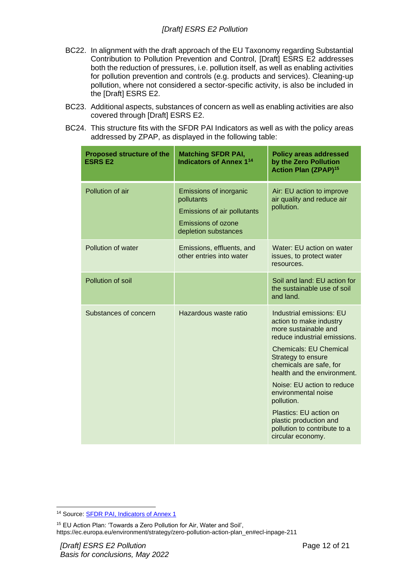- BC22. In alignment with the draft approach of the EU Taxonomy regarding Substantial Contribution to Pollution Prevention and Control, [Draft] ESRS E2 addresses both the reduction of pressures, i.e. pollution itself, as well as enabling activities for pollution prevention and controls (e.g. products and services). Cleaning-up pollution, where not considered a sector-specific activity, is also be included in the [Draft] ESRS E2.
- BC23. Additional aspects, substances of concern as well as enabling activities are also covered through [Draft] ESRS E2.
- BC24. This structure fits with the SFDR PAI Indicators as well as with the policy areas addressed by ZPAP, as displayed in the following table:

| <b>Proposed structure of the</b><br><b>ESRS E2</b> | <b>Matching SFDR PAI,</b><br><b>Indicators of Annex 1<sup>14</sup></b>                                                   | <b>Policy areas addressed</b><br>by the Zero Pollution<br><b>Action Plan (ZPAP)<sup>15</sup></b>                                                                                                                                                                                                                                                                                                         |
|----------------------------------------------------|--------------------------------------------------------------------------------------------------------------------------|----------------------------------------------------------------------------------------------------------------------------------------------------------------------------------------------------------------------------------------------------------------------------------------------------------------------------------------------------------------------------------------------------------|
| Pollution of air                                   | Emissions of inorganic<br>pollutants<br>Emissions of air pollutants<br><b>Emissions of ozone</b><br>depletion substances | Air: EU action to improve<br>air quality and reduce air<br>pollution.                                                                                                                                                                                                                                                                                                                                    |
| Pollution of water                                 | Emissions, effluents, and<br>other entries into water                                                                    | Water: EU action on water<br>issues, to protect water<br>resources.                                                                                                                                                                                                                                                                                                                                      |
| Pollution of soil                                  |                                                                                                                          | Soil and land: EU action for<br>the sustainable use of soil<br>and land.                                                                                                                                                                                                                                                                                                                                 |
| Substances of concern                              | Hazardous waste ratio                                                                                                    | Industrial emissions: EU<br>action to make industry<br>more sustainable and<br>reduce industrial emissions.<br><b>Chemicals: EU Chemical</b><br>Strategy to ensure<br>chemicals are safe, for<br>health and the environment.<br>Noise: EU action to reduce<br>environmental noise<br>pollution.<br>Plastics: EU action on<br>plastic production and<br>pollution to contribute to a<br>circular economy. |

<sup>14</sup> Source: [SFDR PAI, Indicators of Annex 1](https://ec.europa.eu/finance/docs/level-2-measures/C_2022_1931_1_EN_annexe_acte_autonome_part1_v6.pdf)

<sup>15</sup> EU Action Plan: 'Towards a Zero Pollution for Air, Water and Soil', https://ec.europa.eu/environment/strategy/zero-pollution-action-plan\_en#ecl-inpage-211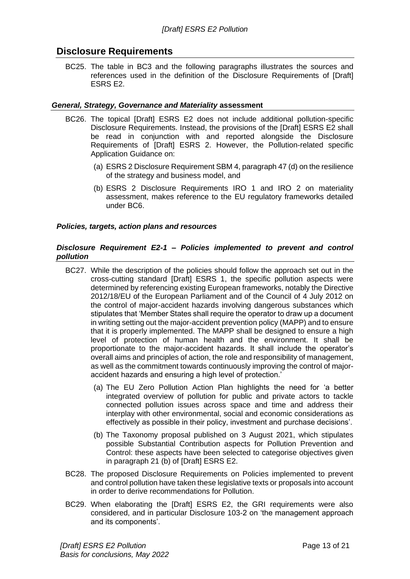# <span id="page-12-0"></span>**Disclosure Requirements**

BC25. The table in BC3 and the following paragraphs illustrates the sources and references used in the definition of the Disclosure Requirements of [Draft] ESRS E2.

#### <span id="page-12-1"></span>*General, Strategy, Governance and Materiality* **assessment**

- BC26. The topical [Draft] ESRS E2 does not include additional pollution-specific Disclosure Requirements. Instead, the provisions of the [Draft] ESRS E2 shall be read in conjunction with and reported alongside the Disclosure Requirements of [Draft] ESRS 2. However, the Pollution-related specific Application Guidance on:
	- (a) ESRS 2 Disclosure Requirement SBM 4, paragraph 47 (d) on the resilience of the strategy and business model, and
	- (b) ESRS 2 Disclosure Requirements IRO 1 and IRO 2 on materiality assessment, makes reference to the EU regulatory frameworks detailed under BC6.

#### <span id="page-12-2"></span>*Policies, targets, action plans and resources*

#### <span id="page-12-3"></span>*Disclosure Requirement E2-1 – Policies implemented to prevent and control pollution*

- BC27. While the description of the policies should follow the approach set out in the cross-cutting standard [Draft] ESRS 1, the specific pollution aspects were determined by referencing existing European frameworks, notably the Directive 2012/18/EU of the European Parliament and of the Council of 4 July 2012 on the control of major-accident hazards involving dangerous substances which stipulates that 'Member States shall require the operator to draw up a document in writing setting out the major-accident prevention policy (MAPP) and to ensure that it is properly implemented. The MAPP shall be designed to ensure a high level of protection of human health and the environment. It shall be proportionate to the major-accident hazards. It shall include the operator's overall aims and principles of action, the role and responsibility of management, as well as the commitment towards continuously improving the control of majoraccident hazards and ensuring a high level of protection.'
	- (a) The EU Zero Pollution Action Plan highlights the need for 'a better integrated overview of pollution for public and private actors to tackle connected pollution issues across space and time and address their interplay with other environmental, social and economic considerations as effectively as possible in their policy, investment and purchase decisions'.
	- (b) The Taxonomy proposal published on 3 August 2021, which stipulates possible Substantial Contribution aspects for Pollution Prevention and Control: these aspects have been selected to categorise objectives given in paragraph 21 (b) of [Draft] ESRS E2.
- BC28. The proposed Disclosure Requirements on Policies implemented to prevent and control pollution have taken these legislative texts or proposals into account in order to derive recommendations for Pollution.
- BC29. When elaborating the [Draft] ESRS E2, the GRI requirements were also considered, and in particular Disclosure 103-2 on 'the management approach and its components'.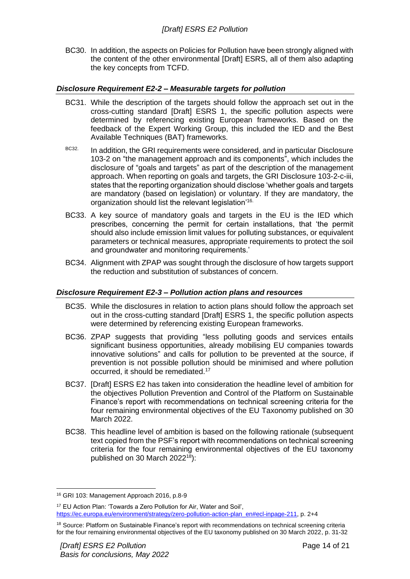BC30. In addition, the aspects on Policies for Pollution have been strongly aligned with the content of the other environmental [Draft] ESRS, all of them also adapting the key concepts from TCFD.

#### <span id="page-13-0"></span>*Disclosure Requirement E2-2 – Measurable targets for pollution*

- BC31. While the description of the targets should follow the approach set out in the cross-cutting standard [Draft] ESRS 1, the specific pollution aspects were determined by referencing existing European frameworks. Based on the feedback of the Expert Working Group, this included the IED and the Best Available Techniques (BAT) frameworks.
- BC32. In addition, the GRI requirements were considered, and in particular Disclosure 103-2 on "the management approach and its components", which includes the disclosure of "goals and targets" as part of the description of the management approach. When reporting on goals and targets, the GRI Disclosure 103-2-c-iii, states that the reporting organization should disclose 'whether goals and targets are mandatory (based on legislation) or voluntary. If they are mandatory, the organization should list the relevant legislation'<sup>16.</sup>
- BC33. A key source of mandatory goals and targets in the EU is the IED which prescribes, concerning the permit for certain installations, that 'the permit should also include emission limit values for polluting substances, or equivalent parameters or technical measures, appropriate requirements to protect the soil and groundwater and monitoring requirements.'
- BC34. Alignment with ZPAP was sought through the disclosure of how targets support the reduction and substitution of substances of concern.

#### <span id="page-13-1"></span>*Disclosure Requirement E2-3 – Pollution action plans and resources*

- BC35. While the disclosures in relation to action plans should follow the approach set out in the cross-cutting standard [Draft] ESRS 1, the specific pollution aspects were determined by referencing existing European frameworks.
- BC36. ZPAP suggests that providing "less polluting goods and services entails significant business opportunities, already mobilising EU companies towards innovative solutions" and calls for pollution to be prevented at the source, if prevention is not possible pollution should be minimised and where pollution occurred, it should be remediated.<sup>17</sup>
- BC37. [Draft] ESRS E2 has taken into consideration the headline level of ambition for the objectives Pollution Prevention and Control of the Platform on Sustainable Finance's report with recommendations on technical screening criteria for the four remaining environmental objectives of the EU Taxonomy published on 30 March 2022.
- BC38. This headline level of ambition is based on the following rationale (subsequent text copied from the PSF's report with recommendations on technical screening criteria for the four remaining environmental objectives of the EU taxonomy published on 30 March 2022<sup>18</sup>):

<sup>16</sup> GRI 103: Management Approach 2016, p.8-9

<sup>17</sup> EU Action Plan: 'Towards a Zero Pollution for Air, Water and Soil', [https://ec.europa.eu/environment/strategy/zero-pollution-action-plan\\_en#ecl-inpage-211,](https://ec.europa.eu/environment/strategy/zero-pollution-action-plan_en#ecl-inpage-211) p. 2+4

<sup>&</sup>lt;sup>18</sup> Source: Platform on Sustainable Finance's report with recommendations on technical screening criteria for the four remaining environmental objectives of the EU taxonomy published on 30 March 2022, p. 31-32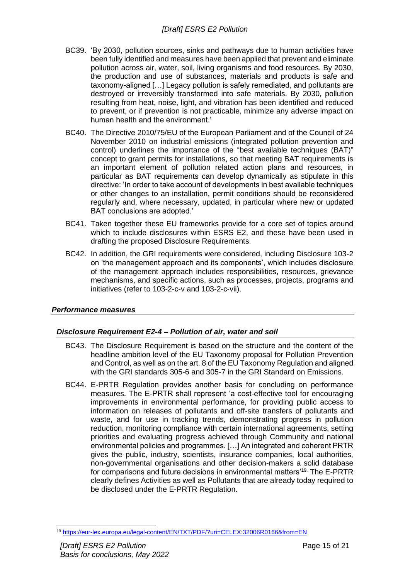- BC39. 'By 2030, pollution sources, sinks and pathways due to human activities have been fully identified and measures have been applied that prevent and eliminate pollution across air, water, soil, living organisms and food resources. By 2030, the production and use of substances, materials and products is safe and taxonomy-aligned […] Legacy pollution is safely remediated, and pollutants are destroyed or irreversibly transformed into safe materials. By 2030, pollution resulting from heat, noise, light, and vibration has been identified and reduced to prevent, or if prevention is not practicable, minimize any adverse impact on human health and the environment.'
- BC40. The Directive 2010/75/EU of the European Parliament and of the Council of 24 November 2010 on industrial emissions (integrated pollution prevention and control) underlines the importance of the "best available techniques (BAT)" concept to grant permits for installations, so that meeting BAT requirements is an important element of pollution related action plans and resources, in particular as BAT requirements can develop dynamically as stipulate in this directive: 'In order to take account of developments in best available techniques or other changes to an installation, permit conditions should be reconsidered regularly and, where necessary, updated, in particular where new or updated BAT conclusions are adopted.'
- BC41. Taken together these EU frameworks provide for a core set of topics around which to include disclosures within ESRS E2, and these have been used in drafting the proposed Disclosure Requirements.
- BC42. In addition, the GRI requirements were considered, including Disclosure 103-2 on 'the management approach and its components', which includes disclosure of the management approach includes responsibilities, resources, grievance mechanisms, and specific actions, such as processes, projects, programs and initiatives (refer to 103-2-c-v and 103-2-c-vii).

#### <span id="page-14-1"></span><span id="page-14-0"></span>*Performance measures*

#### *Disclosure Requirement E2-4 – Pollution of air, water and soil*

- BC43. The Disclosure Requirement is based on the structure and the content of the headline ambition level of the EU Taxonomy proposal for Pollution Prevention and Control, as well as on the art. 8 of the EU Taxonomy Regulation and aligned with the GRI standards 305-6 and 305-7 in the GRI Standard on Emissions.
- BC44. E-PRTR Regulation provides another basis for concluding on performance measures. The E-PRTR shall represent 'a cost-effective tool for encouraging improvements in environmental performance, for providing public access to information on releases of pollutants and off-site transfers of pollutants and waste, and for use in tracking trends, demonstrating progress in pollution reduction, monitoring compliance with certain international agreements, setting priorities and evaluating progress achieved through Community and national environmental policies and programmes. […] An integrated and coherent PRTR gives the public, industry, scientists, insurance companies, local authorities, non-governmental organisations and other decision-makers a solid database for comparisons and future decisions in environmental matters'19. The E-PRTR clearly defines Activities as well as Pollutants that are already today required to be disclosed under the E-PRTR Regulation.

<sup>19</sup> <https://eur-lex.europa.eu/legal-content/EN/TXT/PDF/?uri=CELEX:32006R0166&from=EN>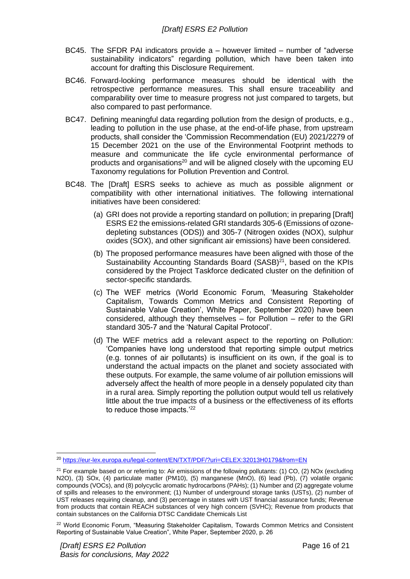- BC45. The SFDR PAI indicators provide a however limited number of "adverse sustainability indicators" regarding pollution, which have been taken into account for drafting this Disclosure Requirement.
- BC46. Forward-looking performance measures should be identical with the retrospective performance measures. This shall ensure traceability and comparability over time to measure progress not just compared to targets, but also compared to past performance.
- BC47. Defining meaningful data regarding pollution from the design of products, e.g., leading to pollution in the use phase, at the end-of-life phase, from upstream products, shall consider the 'Commission Recommendation (EU) 2021/2279 of 15 December 2021 on the use of the Environmental Footprint methods to measure and communicate the life cycle environmental performance of products and organisations<sup>20</sup> and will be aligned closely with the upcoming EU Taxonomy regulations for Pollution Prevention and Control.
- BC48. The [Draft] ESRS seeks to achieve as much as possible alignment or compatibility with other international initiatives. The following international initiatives have been considered:
	- (a) GRI does not provide a reporting standard on pollution; in preparing [Draft] ESRS E2 the emissions-related GRI standards 305-6 (Emissions of ozonedepleting substances (ODS)) and 305-7 (Nitrogen oxides (NOX), sulphur oxides (SOX), and other significant air emissions) have been considered.
	- (b) The proposed performance measures have been aligned with those of the Sustainability Accounting Standards Board  $(SASB)^{21}$ , based on the KPIs considered by the Project Taskforce dedicated cluster on the definition of sector-specific standards.
	- (c) The WEF metrics (World Economic Forum, 'Measuring Stakeholder Capitalism, Towards Common Metrics and Consistent Reporting of Sustainable Value Creation', White Paper, September 2020) have been considered, although they themselves – for Pollution – refer to the GRI standard 305-7 and the 'Natural Capital Protocol'.
	- (d) The WEF metrics add a relevant aspect to the reporting on Pollution: 'Companies have long understood that reporting simple output metrics (e.g. tonnes of air pollutants) is insufficient on its own, if the goal is to understand the actual impacts on the planet and society associated with these outputs. For example, the same volume of air pollution emissions will adversely affect the health of more people in a densely populated city than in a rural area. Simply reporting the pollution output would tell us relatively little about the true impacts of a business or the effectiveness of its efforts to reduce those impacts.<sup>'22</sup>

<sup>&</sup>lt;sup>20</sup> <https://eur-lex.europa.eu/legal-content/EN/TXT/PDF/?uri=CELEX:32013H0179&from=EN>

<sup>&</sup>lt;sup>21</sup> For example based on or referring to: Air emissions of the following pollutants: (1) CO, (2) NOx (excluding N2O), (3) SOx, (4) particulate matter (PM10), (5) manganese (MnO), (6) lead (Pb), (7) volatile organic compounds (VOCs), and (8) polycyclic aromatic hydrocarbons (PAHs); (1) Number and (2) aggregate volume of spills and releases to the environment; (1) Number of underground storage tanks (USTs), (2) number of UST releases requiring cleanup, and (3) percentage in states with UST financial assurance funds; Revenue from products that contain REACH substances of very high concern (SVHC); Revenue from products that contain substances on the California DTSC Candidate Chemicals List

<sup>&</sup>lt;sup>22</sup> World Economic Forum, "Measuring Stakeholder Capitalism, Towards Common Metrics and Consistent Reporting of Sustainable Value Creation", White Paper, September 2020, p. 26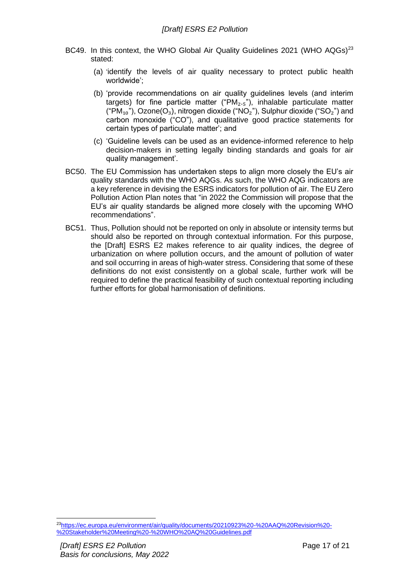- BC49. In this context, the WHO Global Air Quality Guidelines 2021 (WHO AQGs)<sup>23</sup> stated:
	- (a) 'identify the levels of air quality necessary to protect public health worldwide';
	- (b) 'provide recommendations on air quality guidelines levels (and interim targets) for fine particle matter (" $PM<sub>2.5</sub>$ "), inhalable particulate matter ("PM $_{10}$ "), Ozone(O<sub>3</sub>), nitrogen dioxide ("NO<sub>2</sub>"), Sulphur dioxide ("SO<sub>2</sub>") and carbon monoxide ("CO"), and qualitative good practice statements for certain types of particulate matter'; and
	- (c) 'Guideline levels can be used as an evidence-informed reference to help decision-makers in setting legally binding standards and goals for air quality management'.
- BC50. The EU Commission has undertaken steps to align more closely the EU's air quality standards with the WHO AQGs. As such, the WHO AQG indicators are a key reference in devising the ESRS indicators for pollution of air. The EU Zero Pollution Action Plan notes that "in 2022 the Commission will propose that the EU's air quality standards be aligned more closely with the upcoming WHO recommendations".
- BC51. Thus, Pollution should not be reported on only in absolute or intensity terms but should also be reported on through contextual information. For this purpose, the [Draft] ESRS E2 makes reference to air quality indices, the degree of urbanization on where pollution occurs, and the amount of pollution of water and soil occurring in areas of high-water stress. Considering that some of these definitions do not exist consistently on a global scale, further work will be required to define the practical feasibility of such contextual reporting including further efforts for global harmonisation of definitions.

<sup>23</sup>[https://ec.europa.eu/environment/air/quality/documents/20210923%20-%20AAQ%20Revision%20-](https://ec.europa.eu/environment/air/quality/documents/20210923%20-%20AAQ%20Revision%20-%20Stakeholder%20Meeting%20-%20WHO%20AQ%20Guidelines.pdf) [%20Stakeholder%20Meeting%20-%20WHO%20AQ%20Guidelines.pdf](https://ec.europa.eu/environment/air/quality/documents/20210923%20-%20AAQ%20Revision%20-%20Stakeholder%20Meeting%20-%20WHO%20AQ%20Guidelines.pdf)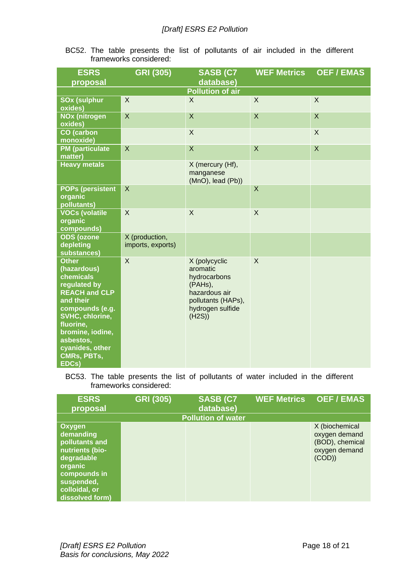BC52. The table presents the list of pollutants of air included in the different frameworks considered:

| <b>ESRS</b>                                                                                                                                                                                                                                | <b>GRI (305)</b>                    | <b>SASB (C7</b>                                                                                                           | <b>WEF Metrics</b>        | <b>OEF/EMAS</b>  |
|--------------------------------------------------------------------------------------------------------------------------------------------------------------------------------------------------------------------------------------------|-------------------------------------|---------------------------------------------------------------------------------------------------------------------------|---------------------------|------------------|
| proposal                                                                                                                                                                                                                                   |                                     | database)                                                                                                                 |                           |                  |
|                                                                                                                                                                                                                                            |                                     | <b>Pollution of air</b>                                                                                                   |                           |                  |
| <b>SOx (sulphur</b><br>oxides)                                                                                                                                                                                                             | X                                   | X                                                                                                                         | $\mathsf{X}$              | $\overline{X}$   |
| <b>NOx (nitrogen</b><br>oxides)                                                                                                                                                                                                            | $\boldsymbol{\mathsf{X}}$           | X                                                                                                                         | $\boldsymbol{\mathsf{X}}$ | X                |
| <b>CO</b> (carbon<br>monoxide)                                                                                                                                                                                                             |                                     | $\mathsf X$                                                                                                               |                           | $\mathsf{X}$     |
| <b>PM</b> (particulate<br>matter)                                                                                                                                                                                                          | $\boldsymbol{\mathsf{X}}$           | $\times$                                                                                                                  | $\mathsf X$               | $\boldsymbol{X}$ |
| <b>Heavy metals</b>                                                                                                                                                                                                                        |                                     | X (mercury (Hf),<br>manganese<br>$(MnO)$ , lead $(Pb)$ )                                                                  |                           |                  |
| <b>POPs (persistent</b><br>organic<br>pollutants)                                                                                                                                                                                          | $\boldsymbol{\mathsf{X}}$           |                                                                                                                           | $\boldsymbol{\mathsf{X}}$ |                  |
| <b>VOCs (volatile</b><br>organic<br>compounds)                                                                                                                                                                                             | X                                   | $\sf X$                                                                                                                   | $\sf X$                   |                  |
| <b>ODS</b> (ozone<br>depleting<br>substances)                                                                                                                                                                                              | X (production,<br>imports, exports) |                                                                                                                           |                           |                  |
| <b>Other</b><br>(hazardous)<br>chemicals<br>regulated by<br><b>REACH and CLP</b><br>and their<br>compounds (e.g.<br><b>SVHC, chlorine,</b><br>fluorine,<br>bromine, iodine,<br>asbestos,<br>cyanides, other<br><b>CMRs, PBTs,</b><br>EDCs) | $\times$                            | X (polycyclic<br>aromatic<br>hydrocarbons<br>(PAHs),<br>hazardous air<br>pollutants (HAPs),<br>hydrogen sulfide<br>(H2S)) | $\sf X$                   |                  |

BC53. The table presents the list of pollutants of water included in the different frameworks considered:

| <b>ESRS</b><br>proposal                                                                                                                                    | <b>GRI (305)</b> | <b>SASB (C7</b><br>database) | <b>WEF Metrics</b> | <b>OEF/EMAS</b>                                                              |
|------------------------------------------------------------------------------------------------------------------------------------------------------------|------------------|------------------------------|--------------------|------------------------------------------------------------------------------|
|                                                                                                                                                            |                  | <b>Pollution of water</b>    |                    |                                                                              |
| <b>Oxygen</b><br>demanding<br>pollutants and<br>nutrients (bio-<br>degradable<br>organic<br>compounds in<br>suspended,<br>colloidal, or<br>dissolved form) |                  |                              |                    | X (biochemical<br>oxygen demand<br>(BOD), chemical<br>oxygen demand<br>(COD) |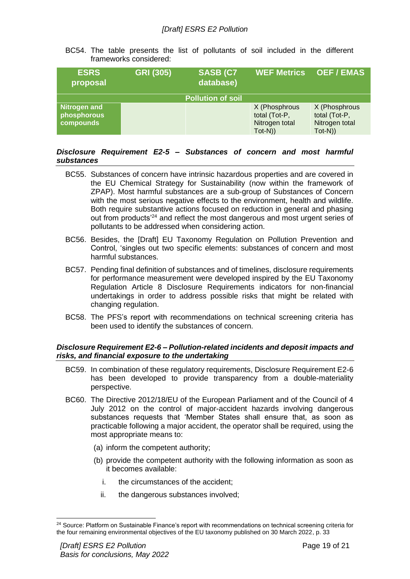BC54. The table presents the list of pollutants of soil included in the different frameworks considered:

| <b>ESRS</b><br>proposal                  | <b>GRI (305)</b> | <b>SASB (C7</b><br>database) | <b>WEF Metrics</b>                                            | <b>OEF/EMAS</b>                                               |
|------------------------------------------|------------------|------------------------------|---------------------------------------------------------------|---------------------------------------------------------------|
|                                          |                  | <b>Pollution of soil</b>     |                                                               |                                                               |
| Nitrogen and<br>phosphorous<br>compounds |                  |                              | X (Phosphrous<br>total (Tot-P,<br>Nitrogen total<br>$Tot-N()$ | X (Phosphrous<br>total (Tot-P,<br>Nitrogen total<br>$Tot-N()$ |

#### <span id="page-18-0"></span>*Disclosure Requirement E2-5 – Substances of concern and most harmful substances*

- BC55. Substances of concern have intrinsic hazardous properties and are covered in the EU Chemical Strategy for Sustainability (now within the framework of ZPAP). Most harmful substances are a sub-group of Substances of Concern with the most serious negative effects to the environment, health and wildlife. Both require substantive actions focused on reduction in general and phasing out from products'<sup>24</sup> and reflect the most dangerous and most urgent series of pollutants to be addressed when considering action.
- BC56. Besides, the [Draft] EU Taxonomy Regulation on Pollution Prevention and Control, 'singles out two specific elements: substances of concern and most harmful substances.
- BC57. Pending final definition of substances and of timelines, disclosure requirements for performance measurement were developed inspired by the EU Taxonomy Regulation Article 8 Disclosure Requirements indicators for non-financial undertakings in order to address possible risks that might be related with changing regulation.
- BC58. The PFS's report with recommendations on technical screening criteria has been used to identify the substances of concern.

#### <span id="page-18-1"></span>*Disclosure Requirement E2-6 – Pollution-related incidents and deposit impacts and risks, and financial exposure to the undertaking*

- BC59. In combination of these regulatory requirements, Disclosure Requirement E2-6 has been developed to provide transparency from a double-materiality perspective.
- BC60. The Directive 2012/18/EU of the European Parliament and of the Council of 4 July 2012 on the control of major-accident hazards involving dangerous substances requests that 'Member States shall ensure that, as soon as practicable following a major accident, the operator shall be required, using the most appropriate means to:
	- (a) inform the competent authority;
	- (b) provide the competent authority with the following information as soon as it becomes available:
		- i. the circumstances of the accident;
		- ii. the dangerous substances involved;

<sup>&</sup>lt;sup>24</sup> Source: Platform on Sustainable Finance's report with recommendations on technical screening criteria for the four remaining environmental objectives of the EU taxonomy published on 30 March 2022, p. 33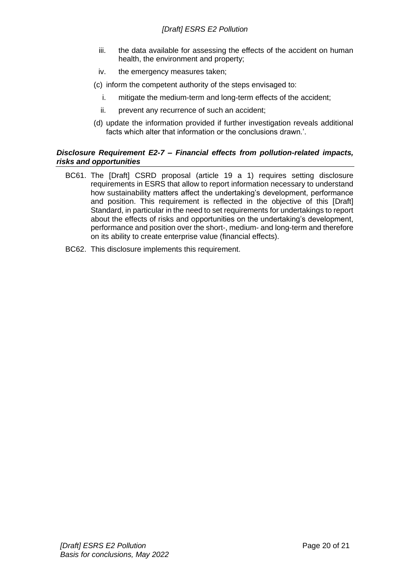- iii. the data available for assessing the effects of the accident on human health, the environment and property;
- iv. the emergency measures taken;
- (c) inform the competent authority of the steps envisaged to:
	- i. mitigate the medium-term and long-term effects of the accident;
	- ii. prevent any recurrence of such an accident;
- (d) update the information provided if further investigation reveals additional facts which alter that information or the conclusions drawn.'.

#### <span id="page-19-0"></span>*Disclosure Requirement E2-7 – Financial effects from pollution-related impacts, risks and opportunities*

- BC61. The [Draft] CSRD proposal (article 19 a 1) requires setting disclosure requirements in ESRS that allow to report information necessary to understand how sustainability matters affect the undertaking's development, performance and position. This requirement is reflected in the objective of this [Draft] Standard, in particular in the need to set requirements for undertakings to report about the effects of risks and opportunities on the undertaking's development, performance and position over the short-, medium- and long-term and therefore on its ability to create enterprise value (financial effects).
- BC62. This disclosure implements this requirement.